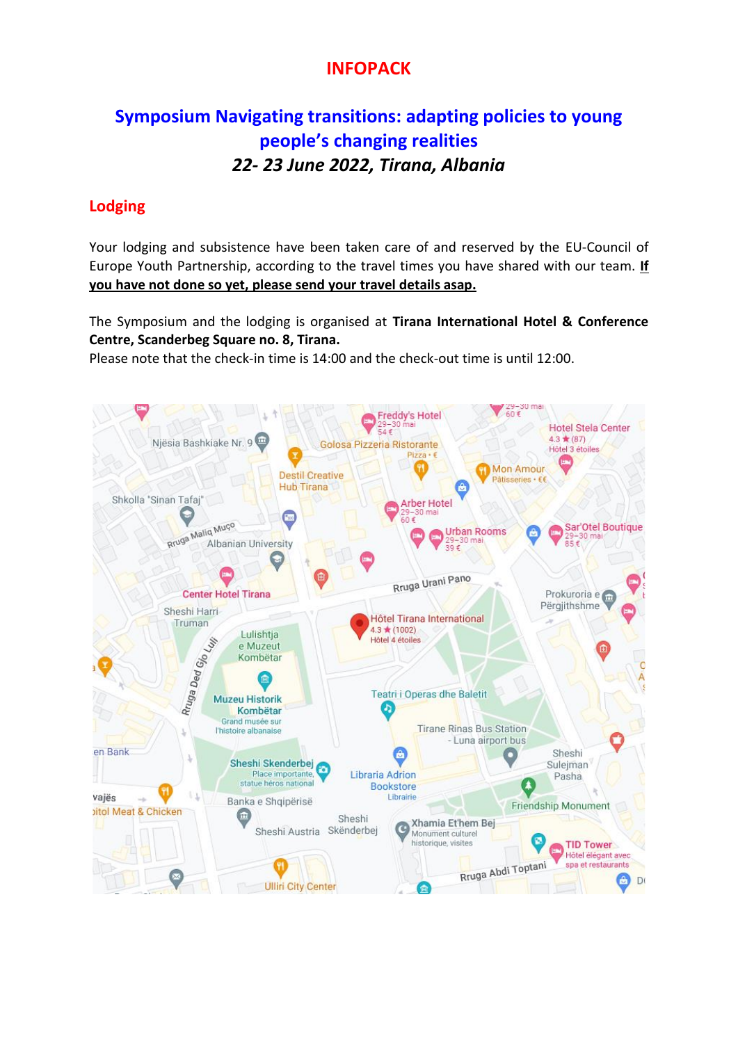## **INFOPACK**

# **Symposium [Navigating transitions: adapting policies to young](https://pjp-eu.coe.int/en/web/youth-partnership/symposium-2022)  [people's changing realities](https://pjp-eu.coe.int/en/web/youth-partnership/symposium-2022)**  *22- 23 June 2022, Tirana, Albania*

## **Lodging**

Your lodging and subsistence have been taken care of and reserved by the EU-Council of Europe Youth Partnership, according to the travel times you have shared with our team. **If you have not done so yet, please send your travel details asap.**

The Symposium and the lodging is organised at **Tirana International Hotel & Conference Centre, Scanderbeg Square no. 8, Tirana.**

Please note that the check-in time is 14:00 and the check-out time is until 12:00.

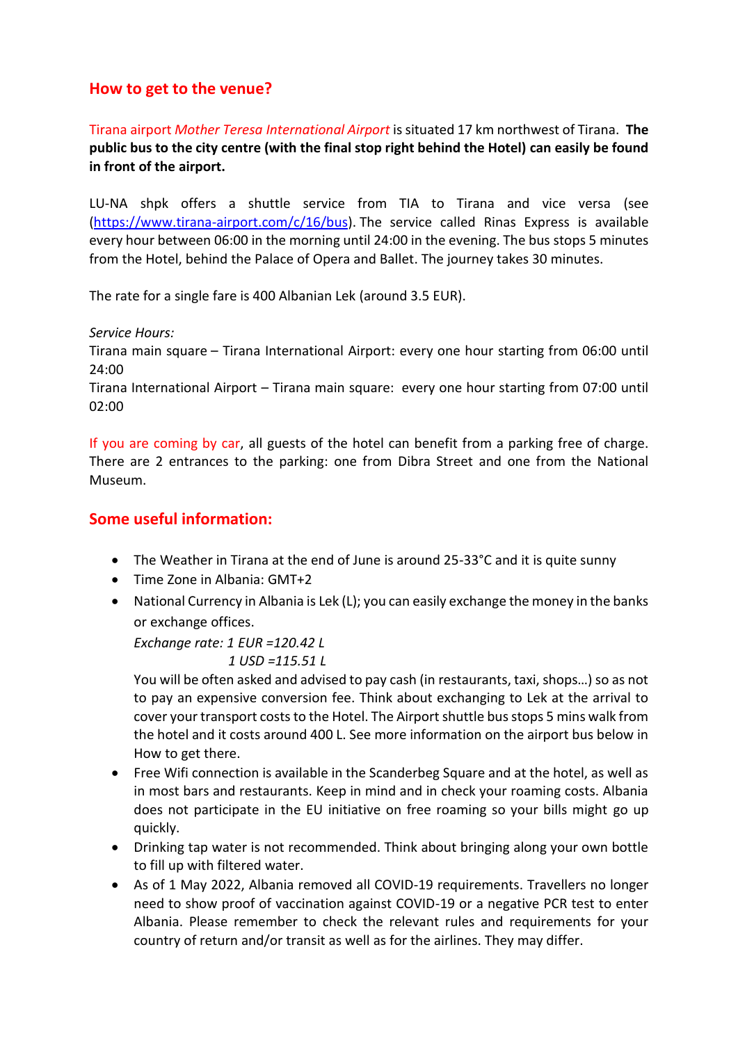## **How to get to the venue?**

Tirana airport *Mother Teresa International Airport* is situated 17 km northwest of Tirana. **The public bus to the city centre (with the final stop right behind the Hotel) can easily be found in front of the airport.**

LU-NA shpk offers a shuttle service from TIA to Tirana and vice versa (see [\(https://www.tirana-airport.com/c/16/bus\)](https://www.tirana-airport.com/c/16/bus). The service called Rinas Express is available every hour between 06:00 in the morning until 24:00 in the evening. The bus stops 5 minutes from the Hotel, behind the Palace of Opera and Ballet. The journey takes 30 minutes.

The rate for a single fare is 400 Albanian Lek (around 3.5 EUR).

#### *Service Hours:*

Tirana main square – Tirana International Airport: every one hour starting from 06:00 until 24:00

Tirana International Airport – Tirana main square: every one hour starting from 07:00 until 02:00

If you are coming by car, all guests of the hotel can benefit from a parking free of charge. There are 2 entrances to the parking: one from Dibra Street and one from the National Museum.

### **Some useful information:**

- The Weather in Tirana at the end of June is around 25-33°C and it is quite sunny
- Time Zone in Albania: GMT+2
- National Currency in Albania is Lek (L); you can easily exchange the money in the banks or exchange offices.

*Exchange rate: 1 EUR =120.42 L*

 *1 USD =115.51 L*

You will be often asked and advised to pay cash (in restaurants, taxi, shops…) so as not to pay an expensive conversion fee. Think about exchanging to Lek at the arrival to cover your transport costs to the Hotel. The Airport shuttle bus stops 5 mins walk from the hotel and it costs around 400 L. See more information on the airport bus below in How to get there.

- Free Wifi connection is available in the Scanderbeg Square and at the hotel, as well as in most bars and restaurants. Keep in mind and in check your roaming costs. Albania does not participate in the EU initiative on free roaming so your bills might go up quickly.
- Drinking tap water is not recommended. Think about bringing along your own bottle to fill up with filtered water.
- As of 1 May 2022, Albania removed all COVID-19 requirements. Travellers no longer need to show proof of vaccination against COVID-19 or a negative PCR test to enter Albania. Please remember to check the relevant rules and requirements for your country of return and/or transit as well as for the airlines. They may differ.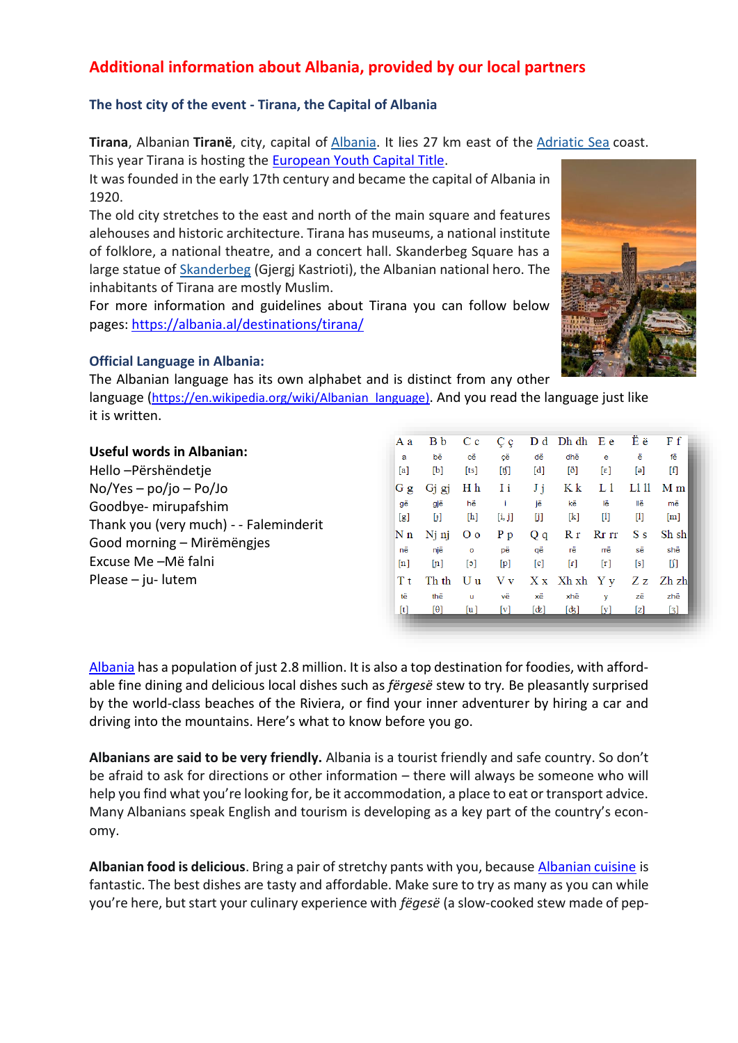## **Additional information about Albania, provided by our local partners**

#### **The host city of the event - Tirana, the Capital of Albania**

**Tirana**, Albanian **Tiranë**, city, capital of [Albania.](https://www.britannica.com/place/Albania) It lies 27 km east of the [Adriatic Sea](https://www.britannica.com/place/Adriatic-Sea) coast. This year Tirana is hosting the [European Youth Capital Title.](https://tiranaeyc2022.al/en/home-k-english/?external=1)

It was founded in the early 17th century and became the capital of Albania in 1920.

The old city stretches to the east and north of the main square and features alehouses and historic architecture. Tirana has museums, a national institute of folklore, a national theatre, and a concert hall. Skanderbeg Square has a large statue of [Skanderbeg](https://www.britannica.com/biography/Skanderbeg) (Gjergj Kastrioti), the Albanian national hero. The inhabitants of Tirana are mostly Muslim.

For more information and guidelines about Tirana you can follow below pages:<https://albania.al/destinations/tirana/>

#### **Official Language in Albania:**

The Albanian language has its own alphabet and is distinct from any other language ([https://en.wikipedia.org/wiki/Albanian\\_language\)](https://en.wikipedia.org/wiki/Albanian_language). And you read the language just like it is written.

|                                        | Aа                | B b          | $C_{\rm c}$               | $\mathbf{C}$ c | D d               | $Dh dh$ E e            |                             | Εë                                                                                                                                                                                                                                                                                                                                                                                                                                                                                                | Ff                |
|----------------------------------------|-------------------|--------------|---------------------------|----------------|-------------------|------------------------|-----------------------------|---------------------------------------------------------------------------------------------------------------------------------------------------------------------------------------------------------------------------------------------------------------------------------------------------------------------------------------------------------------------------------------------------------------------------------------------------------------------------------------------------|-------------------|
| <b>Useful words in Albanian:</b>       | a                 | bë           | cë                        | cë             | dë                | dhë                    | e                           | ë                                                                                                                                                                                                                                                                                                                                                                                                                                                                                                 | fë                |
| Hello-Përshëndetje                     | [a]               | [b]          | [ts]                      | [t͡ʃ]          | [d]               | $\lceil \delta \rceil$ | $\lceil \varepsilon \rceil$ | [ə]                                                                                                                                                                                                                                                                                                                                                                                                                                                                                               | $\lceil f \rceil$ |
| $No/Yes - po/jo - Po/Jo$               | $G$ g             | Gi gi        | H h                       | Ιi             | Ji                | K k                    |                             | L1 11                                                                                                                                                                                                                                                                                                                                                                                                                                                                                             | M <sub>m</sub>    |
| Goodbye- mirupafshim                   | që                | qjë          | hë                        |                | ië                | kë                     | lë                          | llë                                                                                                                                                                                                                                                                                                                                                                                                                                                                                               | më                |
|                                        | $\lceil g \rceil$ | $[+]$        | [h]                       | [i, j]         | fil               | [k]                    | Ш                           | $[1] % \centering \includegraphics[width=0.9\textwidth]{images/TrDiM-Architecture.png} % \caption{The first two different values of $d \sim \tfrac{1}{\sqrt{2}}$ and $d \sim \tfrac{1}{\sqrt{2}}$ and $d \sim \tfrac{1}{\sqrt{2}}$ and $d \sim \tfrac{1}{\sqrt{2}}$ and $d \sim \tfrac{1}{\sqrt{2}}$ and $d \sim \tfrac{1}{\sqrt{2}}$ and $d \sim \tfrac{1}{\sqrt{2}}$ and $d \sim \tfrac{1}{\sqrt{2}}$ and $d \sim \tfrac{1}{\sqrt{2}}$ and $d \sim \tfrac{1}{\sqrt{2}}$ and $d \sim \tfrac{1}{$ | [m]               |
|                                        |                   |              |                           |                |                   |                        |                             |                                                                                                                                                                                                                                                                                                                                                                                                                                                                                                   |                   |
| Thank you (very much) - - Faleminderit |                   |              |                           |                |                   |                        |                             |                                                                                                                                                                                                                                                                                                                                                                                                                                                                                                   |                   |
| Good morning - Mirëmëngjes             | Nn<br>në          | Ni ni<br>nië | O <sub>o</sub><br>$\circ$ | $P_{D}$<br>pë  | Qq<br>αë          | Rr<br>rë               | $Rr$ $rr$<br>rrë            | S <sub>s</sub><br>së                                                                                                                                                                                                                                                                                                                                                                                                                                                                              | Sh sh<br>shë      |
| Excuse Me-Më falni                     | $\lceil n \rceil$ | [n]          | [ə]                       | [p]            | $\lceil c \rceil$ | [r]                    | $\lceil r \rceil$           | [s]                                                                                                                                                                                                                                                                                                                                                                                                                                                                                               | M                 |
| Please $-$ ju- lutem                   | Τt                | Th th        | Uu                        | V <sub>V</sub> |                   | $X x$ Xh xh $Y y$      |                             | Ζz                                                                                                                                                                                                                                                                                                                                                                                                                                                                                                | Zh zhl            |
|                                        | të                | thë          | u                         | vë             | xë                | xhë                    | v                           | zë                                                                                                                                                                                                                                                                                                                                                                                                                                                                                                | zhë               |

[Albania](https://theculturetrip.com/europe/albania/) has a population of just 2.8 million. It is also a top destination for foodies, with affordable fine dining and delicious local dishes such as *fërgesë* stew to try*.* Be pleasantly surprised by the world-class beaches of the Riviera, or find your inner adventurer by hiring a car and driving into the mountains. Here's what to know before you go.

**Albanians are said to be very friendly.** Albania is a tourist friendly and safe country. So don't be afraid to ask for directions or other information – there will always be someone who will help you find what you're looking for, be it accommodation, a place to eat or transport advice. Many Albanians speak English and tourism is developing as a key part of the country's economy.

**Albanian food is delicious**. Bring a pair of stretchy pants with you, because [Albanian cuisine](https://theculturetrip.com/europe/albania/articles/10-best-restaurants-to-try-in-tirana-albania/) is fantastic. The best dishes are tasty and affordable. Make sure to try as many as you can while you're here, but start your culinary experience with *fëgesë* (a slow-cooked stew made of pep-